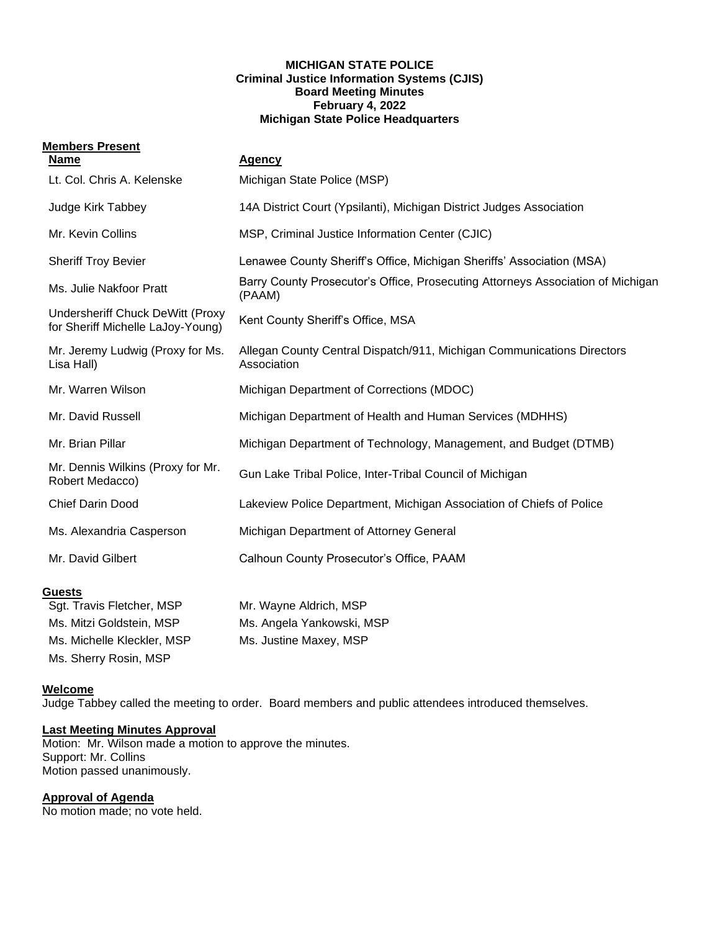#### **MICHIGAN STATE POLICE Criminal Justice Information Systems (CJIS) Board Meeting Minutes February 4, 2022 Michigan State Police Headquarters**

# **Members Present**

| <b>Name</b>                                                           | <b>Agency</b>                                                                             |  |
|-----------------------------------------------------------------------|-------------------------------------------------------------------------------------------|--|
| Lt. Col. Chris A. Kelenske                                            | Michigan State Police (MSP)                                                               |  |
| Judge Kirk Tabbey                                                     | 14A District Court (Ypsilanti), Michigan District Judges Association                      |  |
| Mr. Kevin Collins                                                     | MSP, Criminal Justice Information Center (CJIC)                                           |  |
| <b>Sheriff Troy Bevier</b>                                            | Lenawee County Sheriff's Office, Michigan Sheriffs' Association (MSA)                     |  |
| Ms. Julie Nakfoor Pratt                                               | Barry County Prosecutor's Office, Prosecuting Attorneys Association of Michigan<br>(PAAM) |  |
| Undersheriff Chuck DeWitt (Proxy<br>for Sheriff Michelle LaJoy-Young) | Kent County Sheriff's Office, MSA                                                         |  |
| Mr. Jeremy Ludwig (Proxy for Ms.<br>Lisa Hall)                        | Allegan County Central Dispatch/911, Michigan Communications Directors<br>Association     |  |
| Mr. Warren Wilson                                                     | Michigan Department of Corrections (MDOC)                                                 |  |
| Mr. David Russell                                                     | Michigan Department of Health and Human Services (MDHHS)                                  |  |
| Mr. Brian Pillar                                                      | Michigan Department of Technology, Management, and Budget (DTMB)                          |  |
| Mr. Dennis Wilkins (Proxy for Mr.<br>Robert Medacco)                  | Gun Lake Tribal Police, Inter-Tribal Council of Michigan                                  |  |
| <b>Chief Darin Dood</b>                                               | Lakeview Police Department, Michigan Association of Chiefs of Police                      |  |
| Ms. Alexandria Casperson                                              | Michigan Department of Attorney General                                                   |  |
| Mr. David Gilbert                                                     | Calhoun County Prosecutor's Office, PAAM                                                  |  |
| <b>Guests</b>                                                         |                                                                                           |  |
| Sgt. Travis Fletcher, MSP                                             | Mr. Wayne Aldrich, MSP                                                                    |  |

| Sqt. Travis Fletcher, MSP  | Mr. Wayne Aldrich, MSP    |
|----------------------------|---------------------------|
| Ms. Mitzi Goldstein, MSP   | Ms. Angela Yankowski, MSP |
| Ms. Michelle Kleckler, MSP | Ms. Justine Maxey, MSP    |
| Ms. Sherry Rosin, MSP      |                           |

## **Welcome**

Judge Tabbey called the meeting to order. Board members and public attendees introduced themselves.

## **Last Meeting Minutes Approval**

Motion: Mr. Wilson made a motion to approve the minutes. Support: Mr. Collins Motion passed unanimously.

# **Approval of Agenda**

No motion made; no vote held.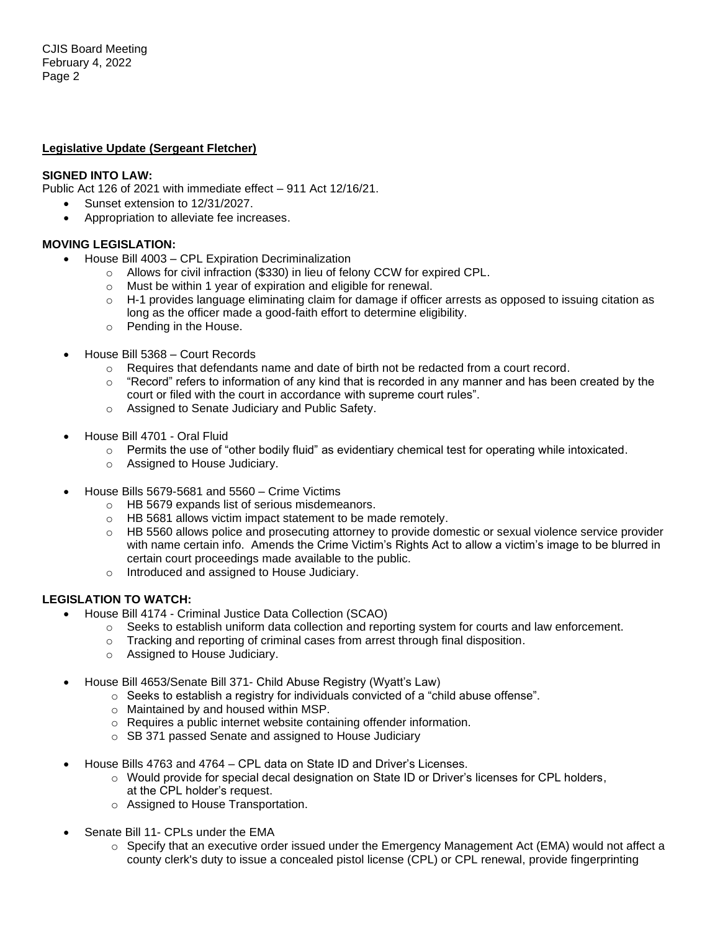#### **Legislative Update (Sergeant Fletcher)**

#### **SIGNED INTO LAW:**

Public Act 126 of 2021 with immediate effect – 911 Act 12/16/21.

- Sunset extension to 12/31/2027.
- Appropriation to alleviate fee increases.

#### **MOVING LEGISLATION:**

- House Bill 4003 CPL Expiration Decriminalization
	- o Allows for civil infraction (\$330) in lieu of felony CCW for expired CPL.
	- o Must be within 1 year of expiration and eligible for renewal.
	- $\circ$  H-1 provides language eliminating claim for damage if officer arrests as opposed to issuing citation as long as the officer made a good-faith effort to determine eligibility.
	- o Pending in the House.
- House Bill 5368 Court Records
	- $\circ$  Requires that defendants name and date of birth not be redacted from a court record.
	- $\circ$  "Record" refers to information of any kind that is recorded in any manner and has been created by the court or filed with the court in accordance with supreme court rules".
	- o Assigned to Senate Judiciary and Public Safety.
- House Bill 4701 Oral Fluid
	- $\circ$  Permits the use of "other bodily fluid" as evidentiary chemical test for operating while intoxicated.
	- o Assigned to House Judiciary.
- House Bills 5679-5681 and 5560 Crime Victims
	- o HB 5679 expands list of serious misdemeanors.
	- o HB 5681 allows victim impact statement to be made remotely.
	- $\circ$  HB 5560 allows police and prosecuting attorney to provide domestic or sexual violence service provider with name certain info. Amends the Crime Victim's Rights Act to allow a victim's image to be blurred in certain court proceedings made available to the public.
	- o Introduced and assigned to House Judiciary.

## **LEGISLATION TO WATCH:**

- House Bill 4174 Criminal Justice Data Collection (SCAO)
	- $\circ$  Seeks to establish uniform data collection and reporting system for courts and law enforcement.
	- o Tracking and reporting of criminal cases from arrest through final disposition.
	- o Assigned to House Judiciary.
- House Bill 4653/Senate Bill 371- Child Abuse Registry (Wyatt's Law)
	- $\circ$  Seeks to establish a registry for individuals convicted of a "child abuse offense".
	- o Maintained by and housed within MSP.
	- o Requires a public internet website containing offender information.
	- o SB 371 passed Senate and assigned to House Judiciary
- House Bills 4763 and 4764 CPL data on State ID and Driver's Licenses.
	- $\circ$  Would provide for special decal designation on State ID or Driver's licenses for CPL holders, at the CPL holder's request.
	- o Assigned to House Transportation.
- Senate Bill 11- CPLs under the EMA
	- o Specify that an executive order issued under the Emergency Management Act (EMA) would not affect a county clerk's duty to issue a concealed pistol license (CPL) or CPL renewal, provide fingerprinting